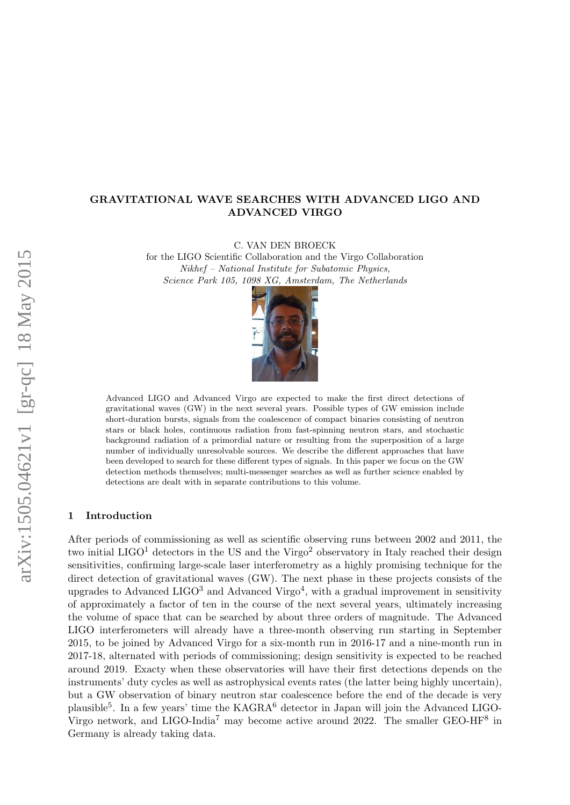# GRAVITATIONAL WAVE SEARCHES WITH ADVANCED LIGO AND ADVANCED VIRGO

C. VAN DEN BROECK

for the LIGO Scientific Collaboration and the Virgo Collaboration Nikhef – National Institute for Subatomic Physics, Science Park 105, 1098 XG, Amsterdam, The Netherlands



Advanced LIGO and Advanced Virgo are expected to make the first direct detections of gravitational waves (GW) in the next several years. Possible types of GW emission include short-duration bursts, signals from the coalescence of compact binaries consisting of neutron stars or black holes, continuous radiation from fast-spinning neutron stars, and stochastic background radiation of a primordial nature or resulting from the superposition of a large number of individually unresolvable sources. We describe the different approaches that have been developed to search for these different types of signals. In this paper we focus on the GW detection methods themselves; multi-messenger searches as well as further science enabled by detections are dealt with in separate contributions to this volume.

## 1 Introduction

After periods of commissioning as well as scientific observing runs between 2002 and 2011, the two initial LIGO<sup>[1](#page-6-0)</sup> detectors in the US and the Virgo<sup>[2](#page-6-1)</sup> observatory in Italy reached their design sensitivities, confirming large-scale laser interferometry as a highly promising technique for the direct detection of gravitational waves (GW). The next phase in these projects consists of the upgrades to Advanced LIGO<sup>[3](#page-6-2)</sup> and Advanced Virgo<sup>[4](#page-6-3)</sup>, with a gradual improvement in sensitivity of approximately a factor of ten in the course of the next several years, ultimately increasing the volume of space that can be searched by about three orders of magnitude. The Advanced LIGO interferometers will already have a three-month observing run starting in September 2015, to be joined by Advanced Virgo for a six-month run in 2016-17 and a nine-month run in 2017-18, alternated with periods of commissioning; design sensitivity is expected to be reached around 2019. Exacty when these observatories will have their first detections depends on the instruments' duty cycles as well as astrophysical events rates (the latter being highly uncertain), but a GW observation of binary neutron star coalescence before the end of the decade is very plausible<sup>[5](#page-6-4)</sup>. In a few years' time the KAGRA<sup>[6](#page-6-5)</sup> detector in Japan will join the Advanced LIGO-Virgo network, and LIGO-India<sup>[7](#page-6-6)</sup> may become active around 2022. The smaller GEO-HF<sup>[8](#page-6-7)</sup> in Germany is already taking data.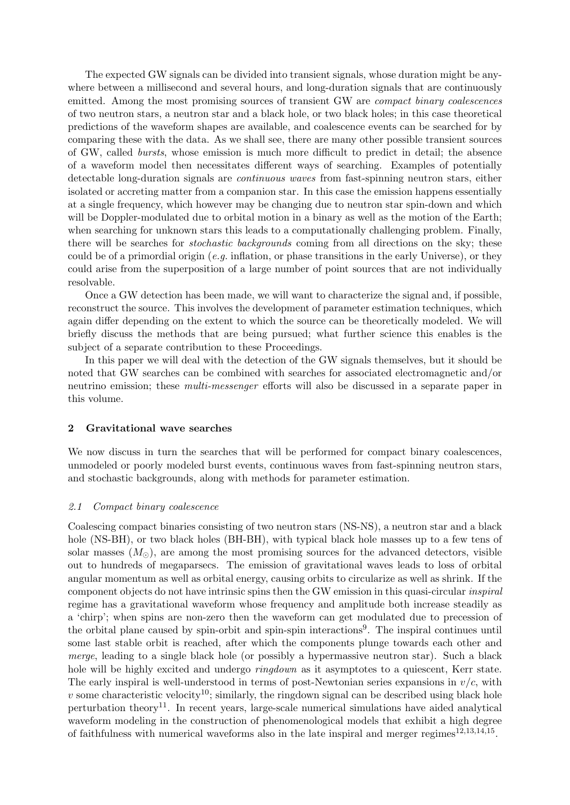The expected GW signals can be divided into transient signals, whose duration might be anywhere between a millisecond and several hours, and long-duration signals that are continuously emitted. Among the most promising sources of transient GW are *compact binary coalescences* of two neutron stars, a neutron star and a black hole, or two black holes; in this case theoretical predictions of the waveform shapes are available, and coalescence events can be searched for by comparing these with the data. As we shall see, there are many other possible transient sources of GW, called bursts, whose emission is much more difficult to predict in detail; the absence of a waveform model then necessitates different ways of searching. Examples of potentially detectable long-duration signals are continuous waves from fast-spinning neutron stars, either isolated or accreting matter from a companion star. In this case the emission happens essentially at a single frequency, which however may be changing due to neutron star spin-down and which will be Doppler-modulated due to orbital motion in a binary as well as the motion of the Earth; when searching for unknown stars this leads to a computationally challenging problem. Finally, there will be searches for *stochastic backgrounds* coming from all directions on the sky; these could be of a primordial origin (e.g. inflation, or phase transitions in the early Universe), or they could arise from the superposition of a large number of point sources that are not individually resolvable.

Once a GW detection has been made, we will want to characterize the signal and, if possible, reconstruct the source. This involves the development of parameter estimation techniques, which again differ depending on the extent to which the source can be theoretically modeled. We will briefly discuss the methods that are being pursued; what further science this enables is the subject of a separate contribution to these Proceedings.

In this paper we will deal with the detection of the GW signals themselves, but it should be noted that GW searches can be combined with searches for associated electromagnetic and/or neutrino emission; these *multi-messenger* efforts will also be discussed in a separate paper in this volume.

### 2 Gravitational wave searches

We now discuss in turn the searches that will be performed for compact binary coalescences, unmodeled or poorly modeled burst events, continuous waves from fast-spinning neutron stars, and stochastic backgrounds, along with methods for parameter estimation.

### 2.1 Compact binary coalescence

Coalescing compact binaries consisting of two neutron stars (NS-NS), a neutron star and a black hole (NS-BH), or two black holes (BH-BH), with typical black hole masses up to a few tens of solar masses  $(M_{\odot})$ , are among the most promising sources for the advanced detectors, visible out to hundreds of megaparsecs. The emission of gravitational waves leads to loss of orbital angular momentum as well as orbital energy, causing orbits to circularize as well as shrink. If the component objects do not have intrinsic spins then the GW emission in this quasi-circular inspiral regime has a gravitational waveform whose frequency and amplitude both increase steadily as a 'chirp'; when spins are non-zero then the waveform can get modulated due to precession of the orbital plane caused by spin-orbit and spin-spin interactions<sup>[9](#page-6-8)</sup>. The inspiral continues until some last stable orbit is reached, after which the components plunge towards each other and merge, leading to a single black hole (or possibly a hypermassive neutron star). Such a black hole will be highly excited and undergo *ringdown* as it asymptotes to a quiescent, Kerr state. The early inspiral is well-understood in terms of post-Newtonian series expansions in  $v/c$ , with v some characteristic velocity<sup>[10](#page-6-9)</sup>; similarly, the ringdown signal can be described using black hole perturbation theory<sup>[11](#page-6-10)</sup>. In recent years, large-scale numerical simulations have aided analytical waveform modeling in the construction of phenomenological models that exhibit a high degree of faithfulness with numerical waveforms also in the late inspiral and merger regimes  $12,13,14,15$  $12,13,14,15$  $12,13,14,15$  $12,13,14,15$  $12,13,14,15$  $12,13,14,15$  $12,13,14,15$ .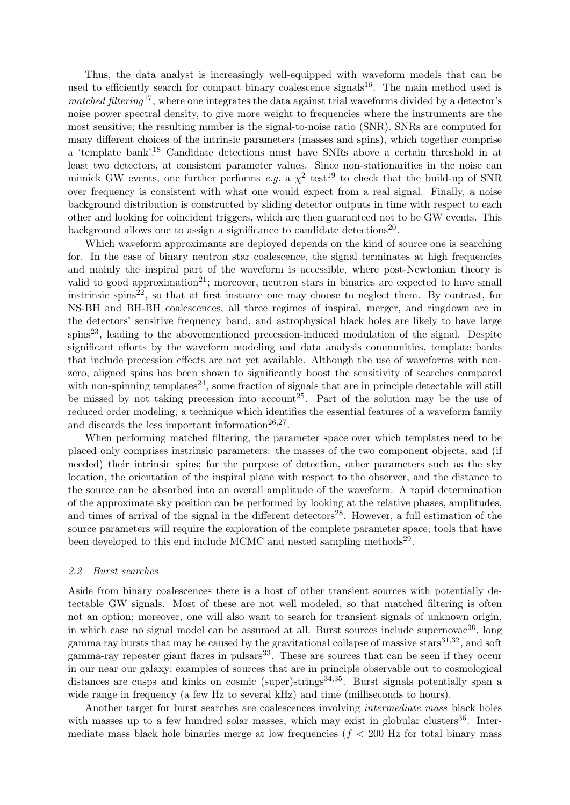Thus, the data analyst is increasingly well-equipped with waveform models that can be used to efficiently search for compact binary coalescence signals<sup>[16](#page-6-15)</sup>. The main method used is matched filtering<sup>[17](#page-6-16)</sup>, where one integrates the data against trial waveforms divided by a detector's noise power spectral density, to give more weight to frequencies where the instruments are the most sensitive; the resulting number is the signal-to-noise ratio (SNR). SNRs are computed for many different choices of the intrinsic parameters (masses and spins), which together comprise a 'template bank'.[18](#page-6-17) Candidate detections must have SNRs above a certain threshold in at least two detectors, at consistent parameter values. Since non-stationarities in the noise can mimick GW events, one further performs e.g. a  $\chi^2$  test<sup>[19](#page-6-18)</sup> to check that the build-up of SNR over frequency is consistent with what one would expect from a real signal. Finally, a noise background distribution is constructed by sliding detector outputs in time with respect to each other and looking for coincident triggers, which are then guaranteed not to be GW events. This background allows one to assign a significance to candidate detections<sup>[20](#page-6-19)</sup>.

Which waveform approximants are deployed depends on the kind of source one is searching for. In the case of binary neutron star coalescence, the signal terminates at high frequencies and mainly the inspiral part of the waveform is accessible, where post-Newtonian theory is valid to good approximation<sup>[21](#page-6-20)</sup>; moreover, neutron stars in binaries are expected to have small instrinsic spins<sup>[22](#page-6-21)</sup>, so that at first instance one may choose to neglect them. By contrast, for NS-BH and BH-BH coalescences, all three regimes of inspiral, merger, and ringdown are in the detectors' sensitive frequency band, and astrophysical black holes are likely to have large spins<sup>[23](#page-6-22)</sup>, leading to the abovementioned precession-induced modulation of the signal. Despite significant efforts by the waveform modeling and data analysis communities, template banks that include precession effects are not yet available. Although the use of waveforms with nonzero, aligned spins has been shown to significantly boost the sensitivity of searches compared with non-spinning templates<sup>[24](#page-6-23)</sup>, some fraction of signals that are in principle detectable will still be missed by not taking precession into account<sup>[25](#page-6-24)</sup>. Part of the solution may be the use of reduced order modeling, a technique which identifies the essential features of a waveform family and discards the less important information $26,27$  $26,27$  $26,27$ .

When performing matched filtering, the parameter space over which templates need to be placed only comprises instrinsic parameters: the masses of the two component objects, and (if needed) their intrinsic spins; for the purpose of detection, other parameters such as the sky location, the orientation of the inspiral plane with respect to the observer, and the distance to the source can be absorbed into an overall amplitude of the waveform. A rapid determination of the approximate sky position can be performed by looking at the relative phases, amplitudes, and times of arrival of the signal in the different detectors<sup>[28](#page-6-27)</sup>. However, a full estimation of the source parameters will require the exploration of the complete parameter space; tools that have been developed to this end include MCMC and nested sampling methods<sup>[29](#page-6-28)</sup>.

### 2.2 Burst searches

Aside from binary coalescences there is a host of other transient sources with potentially detectable GW signals. Most of these are not well modeled, so that matched filtering is often not an option; moreover, one will also want to search for transient signals of unknown origin, in which case no signal model can be assumed at all. Burst sources include supernovae<sup>[30](#page-6-29)</sup>, long gamma ray bursts that may be caused by the gravitational collapse of massive stars<sup>[31](#page-6-30),[32](#page-6-31)</sup>, and soft gamma-ray repeater giant flares in pulsars<sup>[33](#page-6-32)</sup>. These are sources that can be seen if they occur in our near our galaxy; examples of sources that are in principle observable out to cosmological distances are cusps and kinks on cosmic (super)strings<sup>[34](#page-7-0),[35](#page-7-1)</sup>. Burst signals potentially span a wide range in frequency (a few Hz to several kHz) and time (milliseconds to hours).

Another target for burst searches are coalescences involving *intermediate mass* black holes with masses up to a few hundred solar masses, which may exist in globular clusters  $36$ . Intermediate mass black hole binaries merge at low frequencies ( $f < 200$  Hz for total binary mass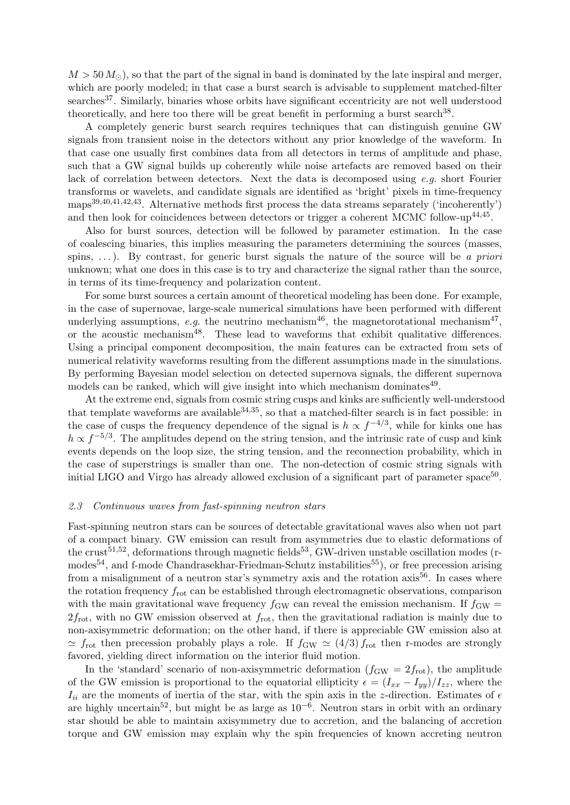$M > 50 M_{\odot}$ , so that the part of the signal in band is dominated by the late inspiral and merger, which are poorly modeled; in that case a burst search is advisable to supplement matched-filter searches<sup>[37](#page-7-3)</sup>. Similarly, binaries whose orbits have significant eccentricity are not well understood theoretically, and here too there will be great benefit in performing a burst search<sup>[38](#page-7-4)</sup>.

A completely generic burst search requires techniques that can distinguish genuine GW signals from transient noise in the detectors without any prior knowledge of the waveform. In that case one usually first combines data from all detectors in terms of amplitude and phase, such that a GW signal builds up coherently while noise artefacts are removed based on their lack of correlation between detectors. Next the data is decomposed using  $e.g.$  short Fourier transforms or wavelets, and candidate signals are identified as 'bright' pixels in time-frequency maps[39](#page-7-5),[40](#page-7-6),[41](#page-7-7),[42](#page-7-8),[43](#page-7-9). Alternative methods first process the data streams separately ('incoherently') and then look for coincidences between detectors or trigger a coherent MCMC follow-up<sup>[44](#page-7-10),[45](#page-7-11)</sup>.

Also for burst sources, detection will be followed by parameter estimation. In the case of coalescing binaries, this implies measuring the parameters determining the sources (masses, spins,  $\dots$ ). By contrast, for generic burst signals the nature of the source will be a priori unknown; what one does in this case is to try and characterize the signal rather than the source, in terms of its time-frequency and polarization content.

For some burst sources a certain amount of theoretical modeling has been done. For example, in the case of supernovae, large-scale numerical simulations have been performed with different underlying assumptions, e.g. the neutrino mechanism<sup>[46](#page-7-12)</sup>, the magnetorotational mechanism<sup>[47](#page-7-13)</sup>, or the acoustic mechanism[48](#page-7-14). These lead to waveforms that exhibit qualitative differences. Using a principal component decomposition, the main features can be extracted from sets of numerical relativity waveforms resulting from the different assumptions made in the simulations. By performing Bayesian model selection on detected supernova signals, the different supernova models can be ranked, which will give insight into which mechanism dominates $^{49}$  $^{49}$  $^{49}$ .

At the extreme end, signals from cosmic string cusps and kinks are sufficiently well-understood that template waveforms are available  $34,35$  $34,35$  $34,35$ , so that a matched-filter search is in fact possible: in the case of cusps the frequency dependence of the signal is  $h \propto f^{-4/3}$ , while for kinks one has  $h \propto f^{-5/3}$ . The amplitudes depend on the string tension, and the intrinsic rate of cusp and kink events depends on the loop size, the string tension, and the reconnection probability, which in the case of superstrings is smaller than one. The non-detection of cosmic string signals with initial LIGO and Virgo has already allowed exclusion of a significant part of parameter space<sup>[50](#page-7-16)</sup>.

#### 2.3 Continuous waves from fast-spinning neutron stars

Fast-spinning neutron stars can be sources of detectable gravitational waves also when not part of a compact binary. GW emission can result from asymmetries due to elastic deformations of the crust<sup>[51](#page-7-17),[52](#page-7-18)</sup>, deformations through magnetic fields<sup>[53](#page-7-19)</sup>, GW-driven unstable oscillation modes (r-modes<sup>[54](#page-7-20)</sup>, and f-mode Chandrasekhar-Friedman-Schutz instabilities<sup>[55](#page-7-21)</sup>), or free precession arising from a misalignment of a neutron star's symmetry axis and the rotation axis<sup>[56](#page-7-22)</sup>. In cases where the rotation frequency  $f_{\text{rot}}$  can be established through electromagnetic observations, comparison with the main gravitational wave frequency  $f_{GW}$  can reveal the emission mechanism. If  $f_{GW}$  =  $2f_{\text{rot}}$ , with no GW emission observed at  $f_{\text{rot}}$ , then the gravitational radiation is mainly due to non-axisymmetric deformation; on the other hand, if there is appreciable GW emission also at  $\simeq f_{\rm rot}$  then precession probably plays a role. If  $f_{\rm GW} \simeq (4/3) f_{\rm rot}$  then r-modes are strongly favored, yielding direct information on the interior fluid motion.

In the 'standard' scenario of non-axisymmetric deformation  $(f_{GW} = 2f_{rot})$ , the amplitude of the GW emission is proportional to the equatorial ellipticity  $\epsilon = (I_{xx} - I_{yy})/I_{zz}$ , where the  $I_{ii}$  are the moments of inertia of the star, with the spin axis in the z-direction. Estimates of  $\epsilon$ are highly uncertain<sup>[52](#page-7-18)</sup>, but might be as large as  $10^{-6}$ . Neutron stars in orbit with an ordinary star should be able to maintain axisymmetry due to accretion, and the balancing of accretion torque and GW emission may explain why the spin frequencies of known accreting neutron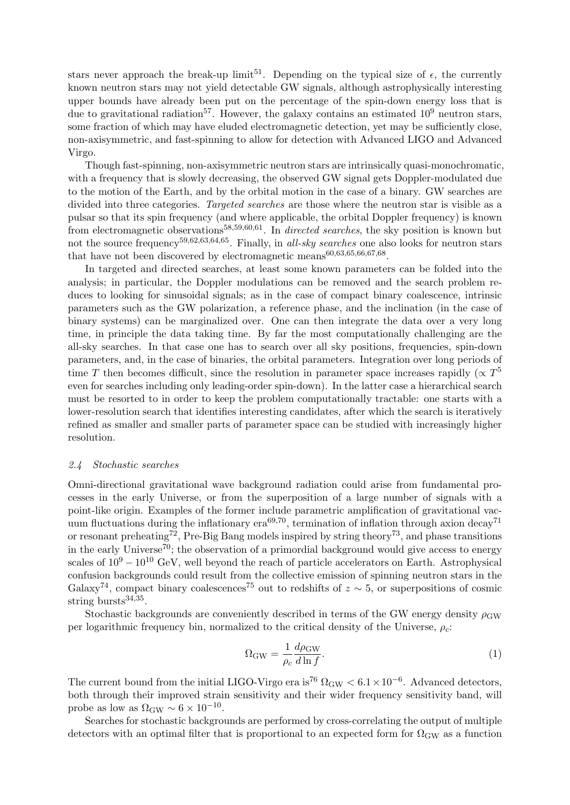stars never approach the break-up limit<sup>[51](#page-7-17)</sup>. Depending on the typical size of  $\epsilon$ , the currently known neutron stars may not yield detectable GW signals, although astrophysically interesting upper bounds have already been put on the percentage of the spin-down energy loss that is due to gravitational radiation<sup>[57](#page-7-23)</sup>. However, the galaxy contains an estimated  $10^9$  neutron stars, some fraction of which may have eluded electromagnetic detection, yet may be sufficiently close, non-axisymmetric, and fast-spinning to allow for detection with Advanced LIGO and Advanced Virgo.

Though fast-spinning, non-axisymmetric neutron stars are intrinsically quasi-monochromatic, with a frequency that is slowly decreasing, the observed GW signal gets Doppler-modulated due to the motion of the Earth, and by the orbital motion in the case of a binary. GW searches are divided into three categories. Targeted searches are those where the neutron star is visible as a pulsar so that its spin frequency (and where applicable, the orbital Doppler frequency) is known from electromagnetic observations<sup>[58](#page-7-24),[59](#page-7-25),[60](#page-7-26),[61](#page-7-27)</sup>. In *directed searches*, the sky position is known but not the source frequency<sup>[59](#page-7-25),[62](#page-7-28),[63](#page-7-29),[64](#page-7-30),[65](#page-7-31)</sup>. Finally, in all-sky searches one also looks for neutron stars that have not been discovered by electromagnetic means  $60,63,65,66,67,68$  $60,63,65,66,67,68$  $60,63,65,66,67,68$  $60,63,65,66,67,68$  $60,63,65,66,67,68$  $60,63,65,66,67,68$  $60,63,65,66,67,68$  $60,63,65,66,67,68$  $60,63,65,66,67,68$  $60,63,65,66,67,68$  $60,63,65,66,67,68$ .

In targeted and directed searches, at least some known parameters can be folded into the analysis; in particular, the Doppler modulations can be removed and the search problem reduces to looking for sinusoidal signals; as in the case of compact binary coalescence, intrinsic parameters such as the GW polarization, a reference phase, and the inclination (in the case of binary systems) can be marginalized over. One can then integrate the data over a very long time, in principle the data taking time. By far the most computationally challenging are the all-sky searches. In that case one has to search over all sky positions, frequencies, spin-down parameters, and, in the case of binaries, the orbital parameters. Integration over long periods of time T then becomes difficult, since the resolution in parameter space increases rapidly ( $\propto T^5$ even for searches including only leading-order spin-down). In the latter case a hierarchical search must be resorted to in order to keep the problem computationally tractable: one starts with a lower-resolution search that identifies interesting candidates, after which the search is iteratively refined as smaller and smaller parts of parameter space can be studied with increasingly higher resolution.

### 2.4 Stochastic searches

Omni-directional gravitational wave background radiation could arise from fundamental processes in the early Universe, or from the superposition of a large number of signals with a point-like origin. Examples of the former include parametric amplification of gravitational vacuum fluctuations during the inflationary  $era^{69,70}$  $era^{69,70}$  $era^{69,70}$  $era^{69,70}$  $era^{69,70}$ , termination of inflation through axion decay<sup>[71](#page-7-37)</sup> or resonant preheating<sup>[72](#page-7-38)</sup>, Pre-Big Bang models inspired by string theory<sup>[73](#page-7-39)</sup>, and phase transitions in the early Universe<sup>[70](#page-7-36)</sup>; the observation of a primordial background would give access to energy scales of  $10^9 - 10^{10}$  GeV, well beyond the reach of particle accelerators on Earth. Astrophysical confusion backgrounds could result from the collective emission of spinning neutron stars in the Galaxy<sup>[74](#page-7-40)</sup>, compact binary coalescences<sup>[75](#page-7-41)</sup> out to redshifts of  $z \sim 5$ , or superpositions of cosmic string bursts $34,35$  $34,35$  $34,35$ .

Stochastic backgrounds are conveniently described in terms of the GW energy density  $\rho_{\rm GW}$ per logarithmic frequency bin, normalized to the critical density of the Universe,  $\rho_c$ :

$$
\Omega_{\rm GW} = \frac{1}{\rho_c} \frac{d\rho_{\rm GW}}{d\ln f}.
$$
\n(1)

The current bound from the initial LIGO-Virgo era is<sup>[76](#page-7-42)</sup>  $\Omega_{\rm GW} < 6.1 \times 10^{-6}$ . Advanced detectors, both through their improved strain sensitivity and their wider frequency sensitivity band, will probe as low as  $\Omega_{\rm GW} \sim 6 \times 10^{-10}$ .

Searches for stochastic backgrounds are performed by cross-correlating the output of multiple detectors with an optimal filter that is proportional to an expected form for  $\Omega_{\rm GW}$  as a function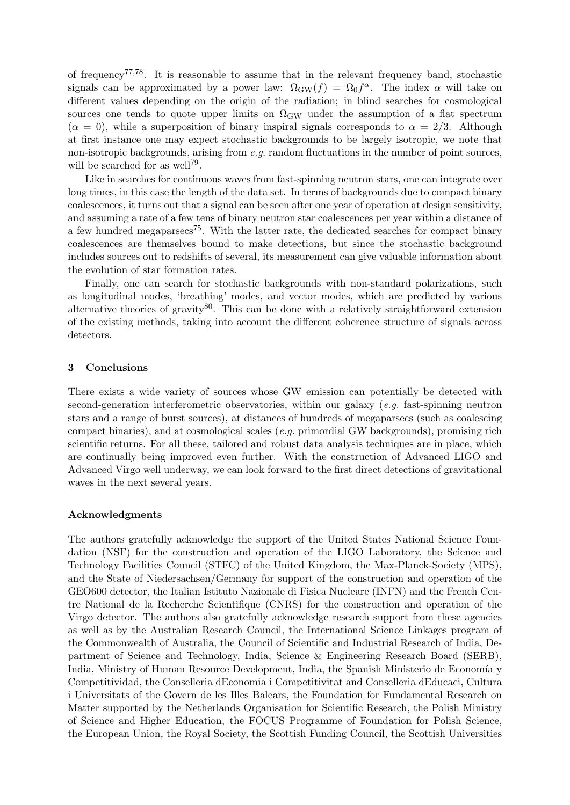of frequency<sup>[77](#page-7-43),[78](#page-7-44)</sup>. It is reasonable to assume that in the relevant frequency band, stochastic signals can be approximated by a power law:  $\Omega_{GW}(f) = \Omega_0 f^{\alpha}$ . The index  $\alpha$  will take on different values depending on the origin of the radiation; in blind searches for cosmological sources one tends to quote upper limits on  $\Omega_{\rm GW}$  under the assumption of a flat spectrum  $(\alpha = 0)$ , while a superposition of binary inspiral signals corresponds to  $\alpha = 2/3$ . Although at first instance one may expect stochastic backgrounds to be largely isotropic, we note that non-isotropic backgrounds, arising from  $e.g.$  random fluctuations in the number of point sources, will be searched for as well<sup>[79](#page-7-45)</sup>.

Like in searches for continuous waves from fast-spinning neutron stars, one can integrate over long times, in this case the length of the data set. In terms of backgrounds due to compact binary coalescences, it turns out that a signal can be seen after one year of operation at design sensitivity, and assuming a rate of a few tens of binary neutron star coalescences per year within a distance of a few hundred megaparsecs<sup>[75](#page-7-41)</sup>. With the latter rate, the dedicated searches for compact binary coalescences are themselves bound to make detections, but since the stochastic background includes sources out to redshifts of several, its measurement can give valuable information about the evolution of star formation rates.

Finally, one can search for stochastic backgrounds with non-standard polarizations, such as longitudinal modes, 'breathing' modes, and vector modes, which are predicted by various alternative theories of gravity $80$ . This can be done with a relatively straightforward extension of the existing methods, taking into account the different coherence structure of signals across detectors.

### 3 Conclusions

There exists a wide variety of sources whose GW emission can potentially be detected with second-generation interferometric observatories, within our galaxy  $(e.g.$  fast-spinning neutron stars and a range of burst sources), at distances of hundreds of megaparsecs (such as coalescing compact binaries), and at cosmological scales (e.g. primordial GW backgrounds), promising rich scientific returns. For all these, tailored and robust data analysis techniques are in place, which are continually being improved even further. With the construction of Advanced LIGO and Advanced Virgo well underway, we can look forward to the first direct detections of gravitational waves in the next several years.

### Acknowledgments

The authors gratefully acknowledge the support of the United States National Science Foundation (NSF) for the construction and operation of the LIGO Laboratory, the Science and Technology Facilities Council (STFC) of the United Kingdom, the Max-Planck-Society (MPS), and the State of Niedersachsen/Germany for support of the construction and operation of the GEO600 detector, the Italian Istituto Nazionale di Fisica Nucleare (INFN) and the French Centre National de la Recherche Scientifique (CNRS) for the construction and operation of the Virgo detector. The authors also gratefully acknowledge research support from these agencies as well as by the Australian Research Council, the International Science Linkages program of the Commonwealth of Australia, the Council of Scientific and Industrial Research of India, Department of Science and Technology, India, Science & Engineering Research Board (SERB), India, Ministry of Human Resource Development, India, the Spanish Ministerio de Economía y Competitividad, the Conselleria dEconomia i Competitivitat and Conselleria dEducaci, Cultura i Universitats of the Govern de les Illes Balears, the Foundation for Fundamental Research on Matter supported by the Netherlands Organisation for Scientific Research, the Polish Ministry of Science and Higher Education, the FOCUS Programme of Foundation for Polish Science, the European Union, the Royal Society, the Scottish Funding Council, the Scottish Universities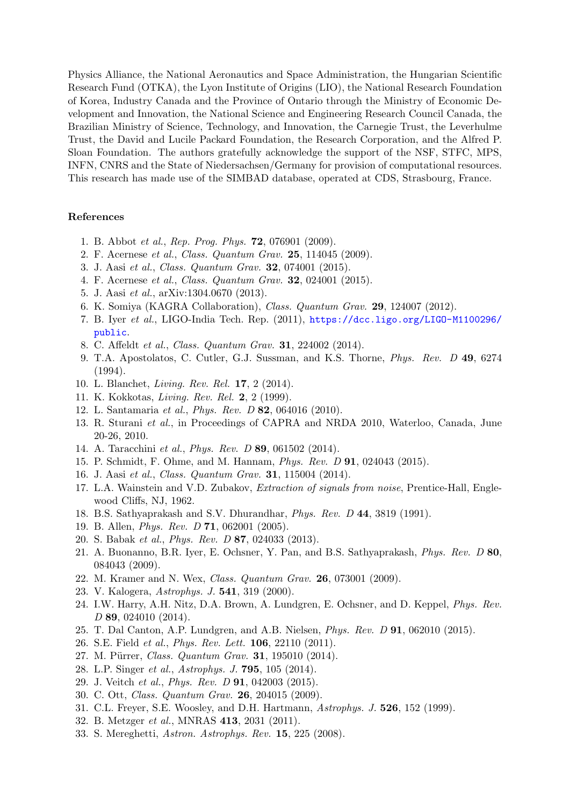Physics Alliance, the National Aeronautics and Space Administration, the Hungarian Scientific Research Fund (OTKA), the Lyon Institute of Origins (LIO), the National Research Foundation of Korea, Industry Canada and the Province of Ontario through the Ministry of Economic Development and Innovation, the National Science and Engineering Research Council Canada, the Brazilian Ministry of Science, Technology, and Innovation, the Carnegie Trust, the Leverhulme Trust, the David and Lucile Packard Foundation, the Research Corporation, and the Alfred P. Sloan Foundation. The authors gratefully acknowledge the support of the NSF, STFC, MPS, INFN, CNRS and the State of Niedersachsen/Germany for provision of computational resources. This research has made use of the SIMBAD database, operated at CDS, Strasbourg, France.

### References

- <span id="page-6-0"></span>1. B. Abbot et al., Rep. Prog. Phys. 72, 076901 (2009).
- <span id="page-6-1"></span>2. F. Acernese et al., Class. Quantum Grav. 25, 114045 (2009).
- <span id="page-6-2"></span>3. J. Aasi et al., Class. Quantum Grav. 32, 074001 (2015).
- <span id="page-6-3"></span>4. F. Acernese et al., Class. Quantum Grav. 32, 024001 (2015).
- <span id="page-6-4"></span>5. J. Aasi et al., arXiv:1304.0670 (2013).
- <span id="page-6-5"></span>6. K. Somiya (KAGRA Collaboration), Class. Quantum Grav. 29, 124007 (2012).
- <span id="page-6-6"></span>7. B. Iyer et al., LIGO-India Tech. Rep. (2011), [https://dcc.ligo.org/LIGO-M1100296/](https: //dcc.ligo.org/LIGO-M1100296/public) [public](https: //dcc.ligo.org/LIGO-M1100296/public).
- <span id="page-6-7"></span>8. C. Affeldt et al., Class. Quantum Grav. 31, 224002 (2014).
- <span id="page-6-8"></span>9. T.A. Apostolatos, C. Cutler, G.J. Sussman, and K.S. Thorne, Phys. Rev. D 49, 6274 (1994).
- <span id="page-6-9"></span>10. L. Blanchet, Living. Rev. Rel. 17, 2 (2014).
- <span id="page-6-10"></span>11. K. Kokkotas, Living. Rev. Rel. 2, 2 (1999).
- <span id="page-6-11"></span>12. L. Santamaria et al., Phys. Rev. D 82, 064016 (2010).
- <span id="page-6-12"></span>13. R. Sturani et al., in Proceedings of CAPRA and NRDA 2010, Waterloo, Canada, June 20-26, 2010.
- <span id="page-6-13"></span>14. A. Taracchini et al., Phys. Rev. D 89, 061502 (2014).
- <span id="page-6-14"></span>15. P. Schmidt, F. Ohme, and M. Hannam, Phys. Rev. D 91, 024043 (2015).
- <span id="page-6-15"></span>16. J. Aasi et al., Class. Quantum Grav. 31, 115004 (2014).
- <span id="page-6-16"></span>17. L.A. Wainstein and V.D. Zubakov, *Extraction of signals from noise*, Prentice-Hall, Englewood Cliffs, NJ, 1962.
- <span id="page-6-17"></span>18. B.S. Sathyaprakash and S.V. Dhurandhar, Phys. Rev. D 44, 3819 (1991).
- <span id="page-6-18"></span>19. B. Allen, Phys. Rev. D 71, 062001 (2005).
- <span id="page-6-19"></span>20. S. Babak et al., Phys. Rev. D 87, 024033 (2013).
- <span id="page-6-20"></span>21. A. Buonanno, B.R. Iyer, E. Ochsner, Y. Pan, and B.S. Sathyaprakash, Phys. Rev. D 80, 084043 (2009).
- <span id="page-6-21"></span>22. M. Kramer and N. Wex, Class. Quantum Grav. 26, 073001 (2009).
- <span id="page-6-22"></span>23. V. Kalogera, Astrophys. J. 541, 319 (2000).
- <span id="page-6-23"></span>24. I.W. Harry, A.H. Nitz, D.A. Brown, A. Lundgren, E. Ochsner, and D. Keppel, Phys. Rev. D 89, 024010 (2014).
- <span id="page-6-24"></span>25. T. Dal Canton, A.P. Lundgren, and A.B. Nielsen, Phys. Rev. D 91, 062010 (2015).
- <span id="page-6-25"></span>26. S.E. Field et al., Phys. Rev. Lett. 106, 22110 (2011).
- <span id="page-6-26"></span>27. M. Pürrer, Class. Quantum Grav. 31, 195010 (2014).
- <span id="page-6-27"></span>28. L.P. Singer et al., Astrophys. J. 795, 105 (2014).
- <span id="page-6-28"></span>29. J. Veitch et al., Phys. Rev. D 91, 042003 (2015).
- <span id="page-6-29"></span>30. C. Ott, Class. Quantum Grav. 26, 204015 (2009).
- <span id="page-6-30"></span>31. C.L. Freyer, S.E. Woosley, and D.H. Hartmann, Astrophys. J. 526, 152 (1999).
- <span id="page-6-31"></span>32. B. Metzger et al., MNRAS 413, 2031 (2011).
- <span id="page-6-32"></span>33. S. Mereghetti, Astron. Astrophys. Rev. 15, 225 (2008).